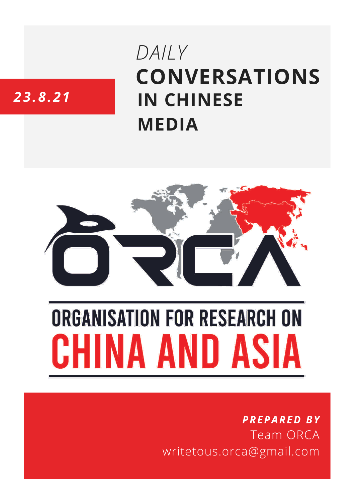# **CONVERSATIONS IN CHINESE MEDIA** *DAILY*

# *23.8.21*



# **ORGANISATION FOR RESEARCH ON** HINA AND ASIA

## *PREPARED BY* Team ORCA writetous.orca@gmail.com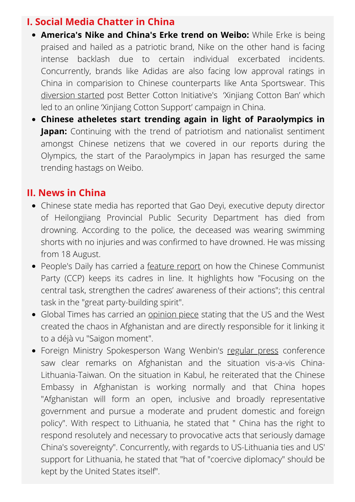### **I. Social Media Chatter in China**

- **America's Nike and China's Erke trend on Weibo:** While Erke is being praised and hailed as a patriotic brand, Nike on the other hand is facing intense backlash due to certain individual excerbated incidents. Concurrently, brands like Adidas are also facing low approval ratings in China in comparision to Chinese counterparts like Anta Sportswear. This [diversion](https://www.whatsonweibo.com/nike-vs-erke-two-sportswear-brands-trending-on-weibo-for-totally-different-reasons/) started post Better Cotton Initiative's 'Xinjiang Cotton Ban' which led to an online 'Xinjiang Cotton Support' campaign in China.
- **Chinese atheletes start trending again in light of Paraolympics in Japan:** Continuing with the trend of patriotism and nationalist sentiment amongst Chinese netizens that we covered in our reports during the Olympics, the start of the Paraolympics in Japan has resurged the same trending hastags on Weibo.

#### **II. News in China**

- Chinese state media has reported that Gao Deyi, executive deputy director of Heilongjiang Provincial Public Security Department has died from drowning. According to the police, the deceased was wearing swimming shorts with no injuries and was confirmed to have drowned. He was missing from 18 August.
- People's Daily has carried a [feature](http://paper.people.com.cn/rmrb/html/2021-08/23/nw.D110000renmrb_20210823_1-01.htm) report on how the Chinese Communist Party (CCP) keeps its cadres in line. It highlights how "Focusing on the central task, strengthen the cadres' awareness of their actions"; this central task in the "great party-building spirit".
- Global Times has carried an **[opinion](https://www.globaltimes.cn/page/202108/1232233.shtml) piece** stating that the US and the West created the chaos in Afghanistan and are directly responsible for it linking it to a déjà vu "Saigon moment".
- Foreign Ministry Spokesperson Wang Wenbin's [regular](https://www.fmprc.gov.cn/web/fyrbt_673021/t1901228.shtml) press conference saw clear remarks on Afghanistan and the situation vis-a-vis China-Lithuania-Taiwan. On the situation in Kabul, he reiterated that the Chinese Embassy in Afghanistan is working normally and that China hopes "Afghanistan will form an open, inclusive and broadly representative government and pursue a moderate and prudent domestic and foreign policy". With respect to Lithuania, he stated that " China has the right to respond resolutely and necessary to provocative acts that seriously damage China's sovereignty". Concurrently, with regards to US-Lithuania ties and US' support for Lithuania, he stated that "hat of "coercive diplomacy" should be kept by the United States itself".